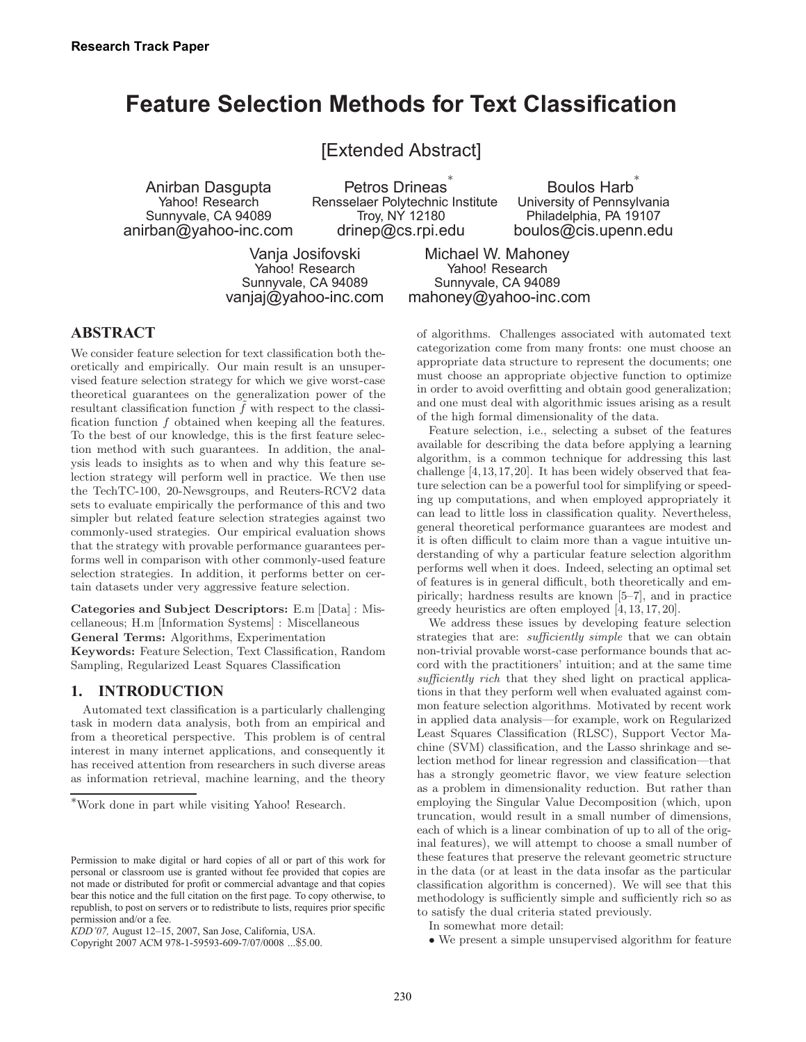# **Feature Selection Methods for Text Classification**

[Extended Abstract]

Anirban Dasgupta Yahoo! Research Sunnyvale, CA 94089 anirban@yahoo-inc.com

Petros Drineas<sup>\*</sup> Rensselaer Polytechnic Institute Troy, NY 12180 drinep@cs.rpi.edu

Boulos Harb<sup>\*</sup> University of Pennsylvania Philadelphia, PA 19107 boulos@cis.upenn.edu

Vanja Josifovski Yahoo! Research Sunnyvale, CA 94089 vanjaj@yahoo-inc.com

Michael W. Mahoney Yahoo! Research Sunnyvale, CA 94089 mahoney@yahoo-inc.com

### **ABSTRACT**

We consider feature selection for text classification both theoretically and empirically. Our main result is an unsupervised feature selection strategy for which we give worst-case theoretical guarantees on the generalization power of the resultant classification function  $\tilde{f}$  with respect to the classification function f obtained when keeping all the features. To the best of our knowledge, this is the first feature selection method with such guarantees. In addition, the analysis leads to insights as to when and why this feature selection strategy will perform well in practice. We then use the TechTC-100, 20-Newsgroups, and Reuters-RCV2 data sets to evaluate empirically the performance of this and two simpler but related feature selection strategies against two commonly-used strategies. Our empirical evaluation shows that the strategy with provable performance guarantees performs well in comparison with other commonly-used feature selection strategies. In addition, it performs better on certain datasets under very aggressive feature selection.

Categories and Subject Descriptors: E.m [Data] : Miscellaneous; H.m [Information Systems] : Miscellaneous General Terms: Algorithms, Experimentation Keywords: Feature Selection, Text Classification, Random Sampling, Regularized Least Squares Classification

### **1. INTRODUCTION**

Automated text classification is a particularly challenging task in modern data analysis, both from an empirical and from a theoretical perspective. This problem is of central interest in many internet applications, and consequently it has received attention from researchers in such diverse areas as information retrieval, machine learning, and the theory

of algorithms. Challenges associated with automated text categorization come from many fronts: one must choose an appropriate data structure to represent the documents; one must choose an appropriate objective function to optimize in order to avoid overfitting and obtain good generalization; and one must deal with algorithmic issues arising as a result of the high formal dimensionality of the data.

Feature selection, i.e., selecting a subset of the features available for describing the data before applying a learning algorithm, is a common technique for addressing this last challenge [4,13,17,20]. It has been widely observed that feature selection can be a powerful tool for simplifying or speeding up computations, and when employed appropriately it can lead to little loss in classification quality. Nevertheless, general theoretical performance guarantees are modest and it is often difficult to claim more than a vague intuitive understanding of why a particular feature selection algorithm performs well when it does. Indeed, selecting an optimal set of features is in general difficult, both theoretically and empirically; hardness results are known [5–7], and in practice greedy heuristics are often employed [4, 13, 17, 20].

We address these issues by developing feature selection strategies that are: sufficiently simple that we can obtain non-trivial provable worst-case performance bounds that accord with the practitioners' intuition; and at the same time sufficiently rich that they shed light on practical applications in that they perform well when evaluated against common feature selection algorithms. Motivated by recent work in applied data analysis—for example, work on Regularized Least Squares Classification (RLSC), Support Vector Machine (SVM) classification, and the Lasso shrinkage and selection method for linear regression and classification—that has a strongly geometric flavor, we view feature selection as a problem in dimensionality reduction. But rather than employing the Singular Value Decomposition (which, upon truncation, would result in a small number of dimensions, each of which is a linear combination of up to all of the original features), we will attempt to choose a small number of these features that preserve the relevant geometric structure in the data (or at least in the data insofar as the particular classification algorithm is concerned). We will see that this methodology is sufficiently simple and sufficiently rich so as to satisfy the dual criteria stated previously.

In somewhat more detail:

• We present a simple unsupervised algorithm for feature

<sup>∗</sup>Work done in part while visiting Yahoo! Research.

Permission to make digital or hard copies of all or part of this work for personal or classroom use is granted without fee provided that copies are not made or distributed for profit or commercial advantage and that copies bear this notice and the full citation on the first page. To copy otherwise, to republish, to post on servers or to redistribute to lists, requires prior specific permission and/or a fee.

*KDD'07,* August 12–15, 2007, San Jose, California, USA.

Copyright 2007 ACM 978-1-59593-609-7/07/0008 ...\$5.00.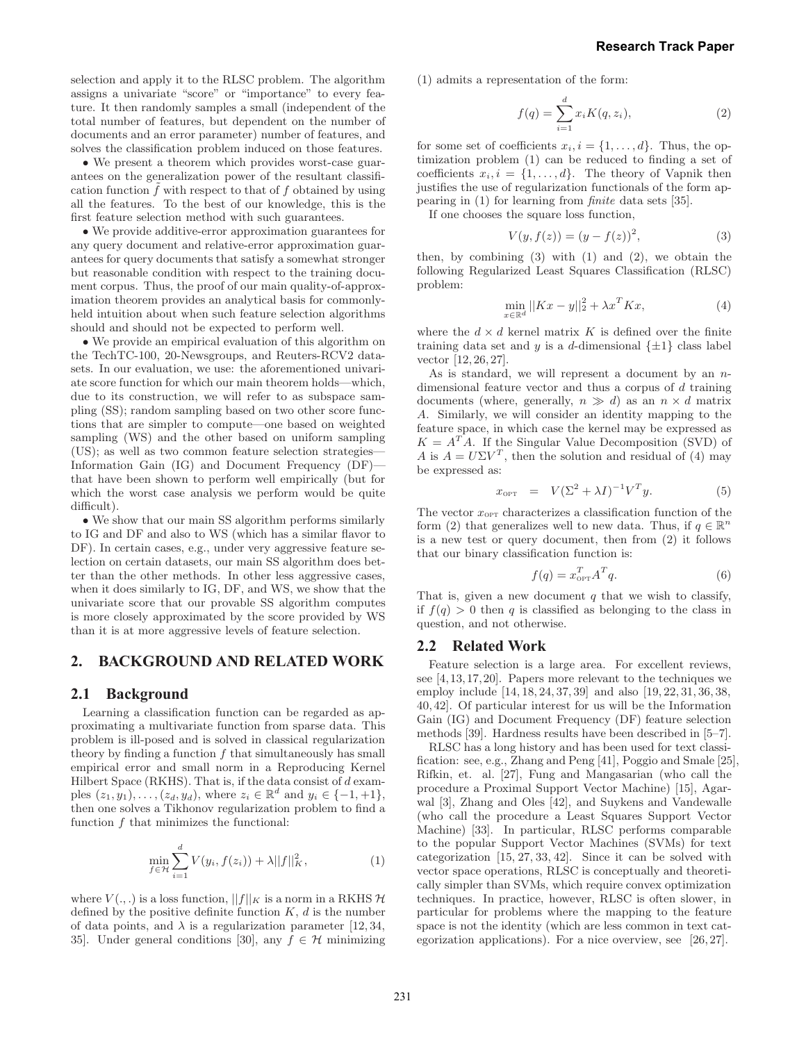selection and apply it to the RLSC problem. The algorithm assigns a univariate "score" or "importance" to every feature. It then randomly samples a small (independent of the total number of features, but dependent on the number of documents and an error parameter) number of features, and solves the classification problem induced on those features.

• We present a theorem which provides worst-case guarantees on the generalization power of the resultant classification function  $f$  with respect to that of  $f$  obtained by using all the features. To the best of our knowledge, this is the first feature selection method with such guarantees.

• We provide additive-error approximation guarantees for any query document and relative-error approximation guarantees for query documents that satisfy a somewhat stronger but reasonable condition with respect to the training document corpus. Thus, the proof of our main quality-of-approximation theorem provides an analytical basis for commonlyheld intuition about when such feature selection algorithms should and should not be expected to perform well.

• We provide an empirical evaluation of this algorithm on the TechTC-100, 20-Newsgroups, and Reuters-RCV2 datasets. In our evaluation, we use: the aforementioned univariate score function for which our main theorem holds—which, due to its construction, we will refer to as subspace sampling (SS); random sampling based on two other score functions that are simpler to compute—one based on weighted sampling (WS) and the other based on uniform sampling (US); as well as two common feature selection strategies— Information Gain (IG) and Document Frequency (DF) that have been shown to perform well empirically (but for which the worst case analysis we perform would be quite difficult).

• We show that our main SS algorithm performs similarly to IG and DF and also to WS (which has a similar flavor to DF). In certain cases, e.g., under very aggressive feature selection on certain datasets, our main SS algorithm does better than the other methods. In other less aggressive cases, when it does similarly to IG, DF, and WS, we show that the univariate score that our provable SS algorithm computes is more closely approximated by the score provided by WS than it is at more aggressive levels of feature selection.

### **2. BACKGROUND AND RELATED WORK**

### **2.1 Background**

Learning a classification function can be regarded as approximating a multivariate function from sparse data. This problem is ill-posed and is solved in classical regularization theory by finding a function  $f$  that simultaneously has small empirical error and small norm in a Reproducing Kernel Hilbert Space (RKHS). That is, if the data consist of  $d$  examples  $(z_1, y_1), \ldots, (z_d, y_d)$ , where  $z_i \in \mathbb{R}^d$  and  $y_i \in \{-1, +1\}$ , then one solves a Tikhonov regularization problem to find a function  $f$  that minimizes the functional:

$$
\min_{f \in \mathcal{H}} \sum_{i=1}^{d} V(y_i, f(z_i)) + \lambda ||f||_K^2, \tag{1}
$$

where  $V(.,.)$  is a loss function,  $||f||_K$  is a norm in a RKHS  $H$ defined by the positive definite function  $K, d$  is the number of data points, and  $\lambda$  is a regularization parameter [12, 34, 35]. Under general conditions [30], any  $f \in \mathcal{H}$  minimizing (1) admits a representation of the form:

$$
f(q) = \sum_{i=1}^{d} x_i K(q, z_i),
$$
 (2)

for some set of coefficients  $x_i, i = \{1, \ldots, d\}$ . Thus, the optimization problem (1) can be reduced to finding a set of coefficients  $x_i, i = \{1, \ldots, d\}$ . The theory of Vapnik then justifies the use of regularization functionals of the form appearing in (1) for learning from finite data sets [35].

If one chooses the square loss function,

$$
V(y, f(z)) = (y - f(z))^{2},
$$
\n(3)

then, by combining  $(3)$  with  $(1)$  and  $(2)$ , we obtain the following Regularized Least Squares Classification (RLSC) problem:

$$
\min_{x \in \mathbb{R}^d} ||Kx - y||_2^2 + \lambda x^T K x,\tag{4}
$$

where the  $d \times d$  kernel matrix K is defined over the finite training data set and y is a d-dimensional  $\{\pm 1\}$  class label vector [12, 26, 27].

As is standard, we will represent a document by an ndimensional feature vector and thus a corpus of d training documents (where, generally,  $n \gg d$ ) as an  $n \times d$  matrix A. Similarly, we will consider an identity mapping to the feature space, in which case the kernel may be expressed as  $K = A<sup>T</sup>A$ . If the Singular Value Decomposition (SVD) of A is  $A = U\Sigma V^T$ , then the solution and residual of (4) may be expressed as:

$$
x_{\text{OPT}} = V(\Sigma^2 + \lambda I)^{-1}V^T y. \tag{5}
$$

The vector  $x_{\text{OPT}}$  characterizes a classification function of the form (2) that generalizes well to new data. Thus, if  $q \in \mathbb{R}^n$ is a new test or query document, then from (2) it follows that our binary classification function is:

$$
f(q) = x_{\text{opt}}^T A^T q. \tag{6}
$$

That is, given a new document  $q$  that we wish to classify, if  $f(q) > 0$  then q is classified as belonging to the class in question, and not otherwise.

#### **2.2 Related Work**

Feature selection is a large area. For excellent reviews, see [4, 13, 17, 20]. Papers more relevant to the techniques we employ include [14, 18, 24, 37, 39] and also [19, 22, 31, 36, 38, 40, 42]. Of particular interest for us will be the Information Gain (IG) and Document Frequency (DF) feature selection methods [39]. Hardness results have been described in [5–7].

RLSC has a long history and has been used for text classification: see, e.g., Zhang and Peng [41], Poggio and Smale [25], Rifkin, et. al. [27], Fung and Mangasarian (who call the procedure a Proximal Support Vector Machine) [15], Agarwal [3], Zhang and Oles [42], and Suykens and Vandewalle (who call the procedure a Least Squares Support Vector Machine) [33]. In particular, RLSC performs comparable to the popular Support Vector Machines (SVMs) for text categorization [15, 27, 33, 42]. Since it can be solved with vector space operations, RLSC is conceptually and theoretically simpler than SVMs, which require convex optimization techniques. In practice, however, RLSC is often slower, in particular for problems where the mapping to the feature space is not the identity (which are less common in text categorization applications). For a nice overview, see [26, 27].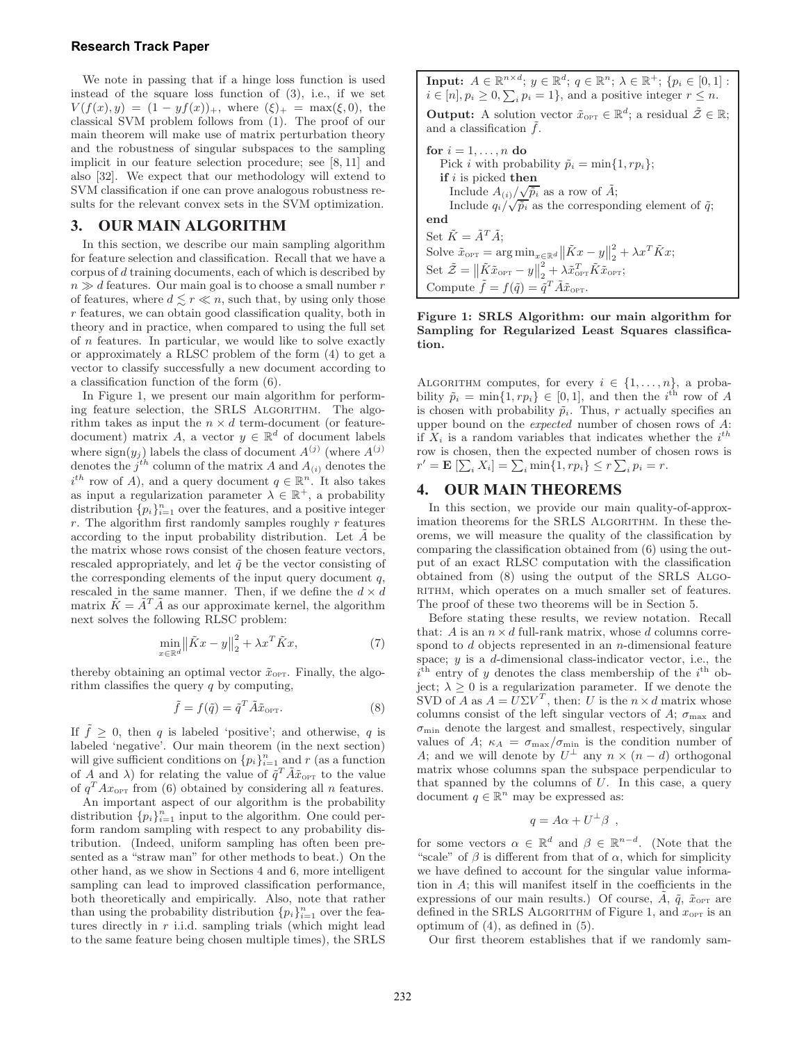#### **Research Track Paper**

We note in passing that if a hinge loss function is used instead of the square loss function of (3), i.e., if we set  $V(f(x), y) = (1 - yf(x))_{+}$ , where  $(\xi)_{+} = \max(\xi, 0)$ , the classical SVM problem follows from (1). The proof of our main theorem will make use of matrix perturbation theory and the robustness of singular subspaces to the sampling implicit in our feature selection procedure; see [8, 11] and also [32]. We expect that our methodology will extend to SVM classification if one can prove analogous robustness results for the relevant convex sets in the SVM optimization.

### **3. OUR MAIN ALGORITHM**

In this section, we describe our main sampling algorithm for feature selection and classification. Recall that we have a corpus of  $d$  training documents, each of which is described by  $n \gg d$  features. Our main goal is to choose a small number r of features, where  $d \lesssim r \ll n$ , such that, by using only those  $r$  features, we can obtain good classification quality, both in theory and in practice, when compared to using the full set of  $n$  features. In particular, we would like to solve exactly or approximately a RLSC problem of the form (4) to get a vector to classify successfully a new document according to a classification function of the form (6).

In Figure 1, we present our main algorithm for performing feature selection, the SRLS ALGORITHM. The algorithm takes as input the  $n \times d$  term-document (or featuredocument) matrix A, a vector  $y \in \mathbb{R}^d$  of document labels where  $\text{sign}(y_j)$  labels the class of document  $A^{(j)}$  (where  $A^{(j)}$ ) denotes the  $j^{th}$  column of the matrix A and  $A_{(i)}$  denotes the  $i^{th}$  row of A), and a query document  $q \in \mathbb{R}^n$ . It also takes as input a regularization parameter  $\lambda \in \mathbb{R}^+$ , a probability distribution  $\{p_i\}_{i=1}^n$  over the features, and a positive integer  $r$ . The algorithm first randomly samples roughly  $r$  features according to the input probability distribution. Let  $\vec{A}$  be the matrix whose rows consist of the chosen feature vectors, rescaled appropriately, and let  $\tilde{q}$  be the vector consisting of the corresponding elements of the input query document  $q$ , rescaled in the same manner. Then, if we define the  $d \times d$ matrix  $\tilde{K} = \tilde{A}^T \tilde{A}$  as our approximate kernel, the algorithm next solves the following RLSC problem:

$$
\min_{x \in \mathbb{R}^d} \left\| \tilde{K} x - y \right\|_2^2 + \lambda x^T \tilde{K} x,\tag{7}
$$

thereby obtaining an optimal vector  $\tilde{x}_{\text{OPT}}$ . Finally, the algorithm classifies the query  $q$  by computing,

$$
\tilde{f} = f(\tilde{q}) = \tilde{q}^T \tilde{A} \tilde{x}_{\text{OPT}}.
$$
\n(8)

If  $\tilde{f} \geq 0$ , then q is labeled 'positive'; and otherwise, q is labeled 'negative'. Our main theorem (in the next section) will give sufficient conditions on  $\{p_i\}_{i=1}^n$  and r (as a function of A and  $\lambda$ ) for relating the value of  $\tilde{q}^T \tilde{A} \tilde{x}_{\text{OPT}}$  to the value of  $q^T A x_{\text{OPT}}$  from (6) obtained by considering all n features.

An important aspect of our algorithm is the probability distribution  $\{p_i\}_{i=1}^n$  input to the algorithm. One could perform random sampling with respect to any probability distribution. (Indeed, uniform sampling has often been presented as a "straw man" for other methods to beat.) On the other hand, as we show in Sections 4 and 6, more intelligent sampling can lead to improved classification performance, both theoretically and empirically. Also, note that rather than using the probability distribution  $\{p_i\}_{i=1}^n$  over the features directly in  $r$  i.i.d. sampling trials (which might lead to the same feature being chosen multiple times), the SRLS

**Input:**  $A \in \mathbb{R}^{n \times d}$ ;  $y \in \mathbb{R}^d$ ;  $q \in \mathbb{R}^n$ ;  $\lambda \in \mathbb{R}^+$ ;  $\{p_i \in [0, 1]$ :  $i \in [n], p_i \ge 0, \sum_i p_i = 1$ , and a positive integer  $r \le n$ . **Output:** A solution vector  $\tilde{x}_{\text{OPT}} \in \mathbb{R}^d$ ; a residual  $\tilde{\mathcal{Z}} \in \mathbb{R}$ ; and a classification  $\tilde{f}$ . for  $i = 1, \ldots, n$  do Pick *i* with probability  $\tilde{p}_i = \min\{1, rp_i\};$ if  $i$  is picked then Include  $A_{(i)}/\sqrt{\tilde{p}_i}$  as a row of  $\tilde{A}$ ; Include  $q_i/\sqrt{\tilde{p}_i}$  as the corresponding element of  $\tilde{q}$ ; end Set  $\tilde{K} = \tilde{A}^T \tilde{A}$ ; Solve  $\tilde{x}_{\text{OPT}} = \arg \min_{x \in \mathbb{R}^d} ||\tilde{K}x - y||_2^2$  $x^2 + \lambda x^T \tilde{K} x;$ Set  $\tilde{\mathcal{Z}} = \left\| \tilde{K} \tilde{x}_{\text{OPT}} - y \right\|_2^2$  $\frac{2}{2}+\lambda \tilde{x}_{\text{{\tiny{OPT}}}}^T\tilde{K}\tilde{x}_{\text{{\tiny{OPT}}}};$ Compute  $\tilde{f} = f(\tilde{q}) = \tilde{q}^T \tilde{A} \tilde{x}_{\text{OPT}}$ .

Figure 1: SRLS Algorithm: our main algorithm for Sampling for Regularized Least Squares classification.

ALGORITHM computes, for every  $i \in \{1, \ldots, n\}$ , a probability  $\tilde{p}_i = \min\{1, rp_i\} \in [0, 1]$ , and then the  $i^{\text{th}}$  row of A is chosen with probability  $\tilde{p}_i$ . Thus, r actually specifies an upper bound on the expected number of chosen rows of A: if  $X_i$  is a random variables that indicates whether the  $i^{th}$ row is chosen, then the expected number of chosen rows is  $r' = \mathbf{E} \left[ \sum_i X_i \right] = \sum_i \min\{1, rp_i\} \leq r \sum_i p_i = r.$ 

### **4. OUR MAIN THEOREMS**

In this section, we provide our main quality-of-approximation theorems for the SRLS ALGORITHM. In these theorems, we will measure the quality of the classification by comparing the classification obtained from (6) using the output of an exact RLSC computation with the classification obtained from (8) using the output of the SRLS Algo-RITHM, which operates on a much smaller set of features. The proof of these two theorems will be in Section 5.

Before stating these results, we review notation. Recall that: A is an  $n \times d$  full-rank matrix, whose d columns correspond to  $d$  objects represented in an  $n$ -dimensional feature space;  $y$  is a  $d$ -dimensional class-indicator vector, i.e., the  $i<sup>th</sup>$  entry of y denotes the class membership of the  $i<sup>th</sup>$  object;  $\lambda \geq 0$  is a regularization parameter. If we denote the SVD of A as  $A = U\Sigma V^T$ , then: U is the  $n \times d$  matrix whose columns consist of the left singular vectors of A;  $\sigma_{\text{max}}$  and  $\sigma_{\min}$  denote the largest and smallest, respectively, singular values of A;  $\kappa_A = \sigma_{\text{max}}/\sigma_{\text{min}}$  is the condition number of A; and we will denote by  $U^{\perp}$  any  $n \times (n - d)$  orthogonal matrix whose columns span the subspace perpendicular to that spanned by the columns of  $U$ . In this case, a query document  $q \in \mathbb{R}^n$  may be expressed as:

$$
q = A\alpha + U^{\perp}\beta ,
$$

for some vectors  $\alpha \in \mathbb{R}^d$  and  $\beta \in \mathbb{R}^{n-d}$ . (Note that the "scale" of  $\beta$  is different from that of  $\alpha$ , which for simplicity we have defined to account for the singular value information in A; this will manifest itself in the coefficients in the expressions of our main results.) Of course, A,  $\tilde{q}$ ,  $\tilde{x}_{\text{OPT}}$  are defined in the SRLS ALGORITHM of Figure 1, and  $x_{\text{OPT}}$  is an optimum of  $(4)$ , as defined in  $(5)$ .

Our first theorem establishes that if we randomly sam-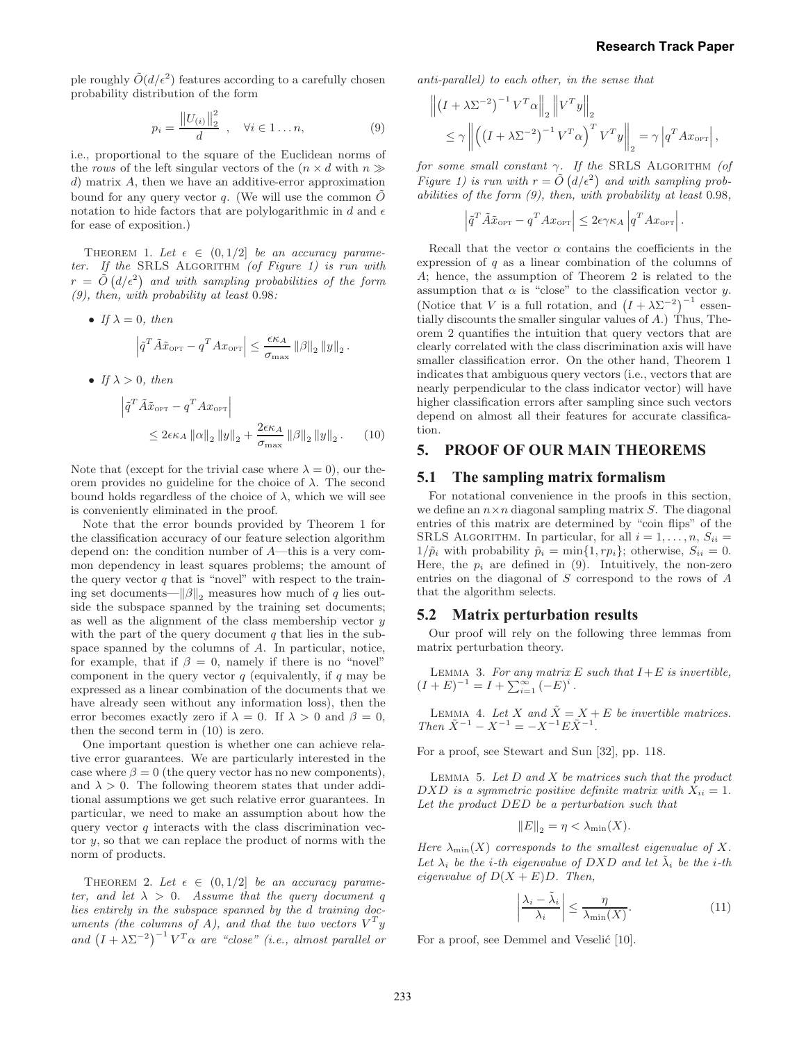ple roughly  $\tilde{O}(d/\epsilon^2)$  features according to a carefully chosen probability distribution of the form

$$
p_i = \frac{\|U_{(i)}\|_2^2}{d} , \quad \forall i \in 1...n,
$$
 (9)

i.e., proportional to the square of the Euclidean norms of the rows of the left singular vectors of the  $(n \times d$  with  $n \gg$ d) matrix A, then we have an additive-error approximation bound for any query vector  $q$ . (We will use the common  $\overline{O}$ notation to hide factors that are polylogarithmic in d and  $\epsilon$ for ease of exposition.)

THEOREM 1. Let  $\epsilon \in (0, 1/2]$  be an accuracy parameter. If the SRLS ALGORITHM (of Figure 1) is run with  $r\,=\,\tilde{O}\left({d}/{\epsilon^2}\right)\,$  and with sampling probabilities of the form (9), then, with probability at least 0.98:

• If 
$$
\lambda = 0
$$
, then  
\n
$$
\left| \tilde{q}^T \tilde{A} \tilde{x}_{\text{OPT}} - q^T A x_{\text{OPT}} \right| \leq \frac{\epsilon \kappa_A}{\sigma_{\text{max}}} ||\beta||_2 ||y||_2.
$$

• If  $\lambda > 0$ , then

$$
\left| \tilde{q}^T \tilde{A} \tilde{x}_{\text{OPT}} - q^T A x_{\text{OPT}} \right|
$$
  
\$\leq 2\epsilon \kappa\_A ||\alpha||\_2 ||y||\_2 + \frac{2\epsilon \kappa\_A}{\sigma\_{\text{max}}} ||\beta||\_2 ||y||\_2\$. (10)

Note that (except for the trivial case where  $\lambda = 0$ ), our theorem provides no guideline for the choice of  $\lambda$ . The second bound holds regardless of the choice of  $\lambda$ , which we will see is conveniently eliminated in the proof.

Note that the error bounds provided by Theorem 1 for the classification accuracy of our feature selection algorithm depend on: the condition number of A—this is a very common dependency in least squares problems; the amount of the query vector  $q$  that is "novel" with respect to the training set documents— $\|\beta\|_2$  measures how much of q lies outside the subspace spanned by the training set documents; as well as the alignment of the class membership vector  $y$ with the part of the query document  $q$  that lies in the subspace spanned by the columns of A. In particular, notice, for example, that if  $\beta = 0$ , namely if there is no "novel" component in the query vector  $q$  (equivalently, if  $q$  may be expressed as a linear combination of the documents that we have already seen without any information loss), then the error becomes exactly zero if  $\lambda = 0$ . If  $\lambda > 0$  and  $\beta = 0$ , then the second term in (10) is zero.

One important question is whether one can achieve relative error guarantees. We are particularly interested in the case where  $\beta = 0$  (the query vector has no new components), and  $\lambda > 0$ . The following theorem states that under additional assumptions we get such relative error guarantees. In particular, we need to make an assumption about how the query vector  $q$  interacts with the class discrimination vector  $y$ , so that we can replace the product of norms with the norm of products.

THEOREM 2. Let  $\epsilon \in (0, 1/2]$  be an accuracy parameter, and let  $\lambda > 0$ . Assume that the query document q lies entirely in the subspace spanned by the d training documents (the columns of A), and that the two vectors  $V^T y$ and  $(I + \lambda \Sigma^{-2})^{-1} V^T \alpha$  are "close" (i.e., almost parallel or

anti-parallel) to each other, in the sense that

$$
\left\| \left(I + \lambda \Sigma^{-2} \right)^{-1} V^T \alpha \right\|_2 \left\| V^T y \right\|_2
$$
  
\$\leq \gamma \left\| \left( \left(I + \lambda \Sigma^{-2} \right)^{-1} V^T \alpha \right)^T V^T y \right\|\_2 = \gamma \left| q^T A x\_{\text{OPT}} \right|\$,

for some small constant  $\gamma$ . If the SRLS ALGORITHM (of Figure 1) is run with  $r = \tilde{O}(d/\epsilon^2)$  and with sampling probabilities of the form  $(9)$ , then, with probability at least 0.98,

$$
\left| \tilde{q}^T \tilde{A} \tilde{x}_{\text{OPT}} - q^T A x_{\text{OPT}} \right| \leq 2\epsilon \gamma \kappa_A \left| q^T A x_{\text{OPT}} \right|.
$$

Recall that the vector  $\alpha$  contains the coefficients in the expression of q as a linear combination of the columns of A; hence, the assumption of Theorem 2 is related to the assumption that  $\alpha$  is "close" to the classification vector y. (Notice that V is a full rotation, and  $(I + \lambda \Sigma^{-2})^{-1}$  essentially discounts the smaller singular values of A.) Thus, Theorem 2 quantifies the intuition that query vectors that are clearly correlated with the class discrimination axis will have smaller classification error. On the other hand, Theorem 1 indicates that ambiguous query vectors (i.e., vectors that are nearly perpendicular to the class indicator vector) will have higher classification errors after sampling since such vectors depend on almost all their features for accurate classification.

### **5. PROOF OF OUR MAIN THEOREMS**

#### **5.1 The sampling matrix formalism**

For notational convenience in the proofs in this section, we define an  $n \times n$  diagonal sampling matrix S. The diagonal entries of this matrix are determined by "coin flips" of the SRLS ALGORITHM. In particular, for all  $i = 1, \ldots, n$ ,  $S_{ii} =$  $1/\tilde{p}_i$  with probability  $\tilde{p}_i = \min\{1, rp_i\}$ ; otherwise,  $S_{ii} = 0$ . Here, the  $p_i$  are defined in (9). Intuitively, the non-zero entries on the diagonal of S correspond to the rows of A that the algorithm selects.

#### **5.2 Matrix perturbation results**

Our proof will rely on the following three lemmas from matrix perturbation theory.

LEMMA 3. For any matrix  $E$  such that  $I+E$  is invertible,  $(I + E)^{-1} = I + \sum_{i=1}^{\infty} (-E)^i$ .

LEMMA 4. Let X and  $\tilde{X} = X + E$  be invertible matrices. Then  $\tilde{X}^{-1} - X^{-1} = -X^{-1} E \tilde{X}^{-1}$ .

For a proof, see Stewart and Sun [32], pp. 118.

LEMMA 5. Let  $D$  and  $X$  be matrices such that the product DXD is a symmetric positive definite matrix with  $X_{ii} = 1$ . Let the product DED be a perturbation such that

$$
||E||_2 = \eta < \lambda_{\min}(X).
$$

Here  $\lambda_{\min}(X)$  corresponds to the smallest eigenvalue of X. Let  $\lambda_i$  be the *i*-th eigenvalue of DXD and let  $\tilde{\lambda}_i$  be the *i*-th eigenvalue of  $D(X + E)D$ . Then,

$$
\left|\frac{\lambda_i - \tilde{\lambda}_i}{\lambda_i}\right| \le \frac{\eta}{\lambda_{\min}(X)}.\tag{11}
$$

For a proof, see Demmel and Veselić [10].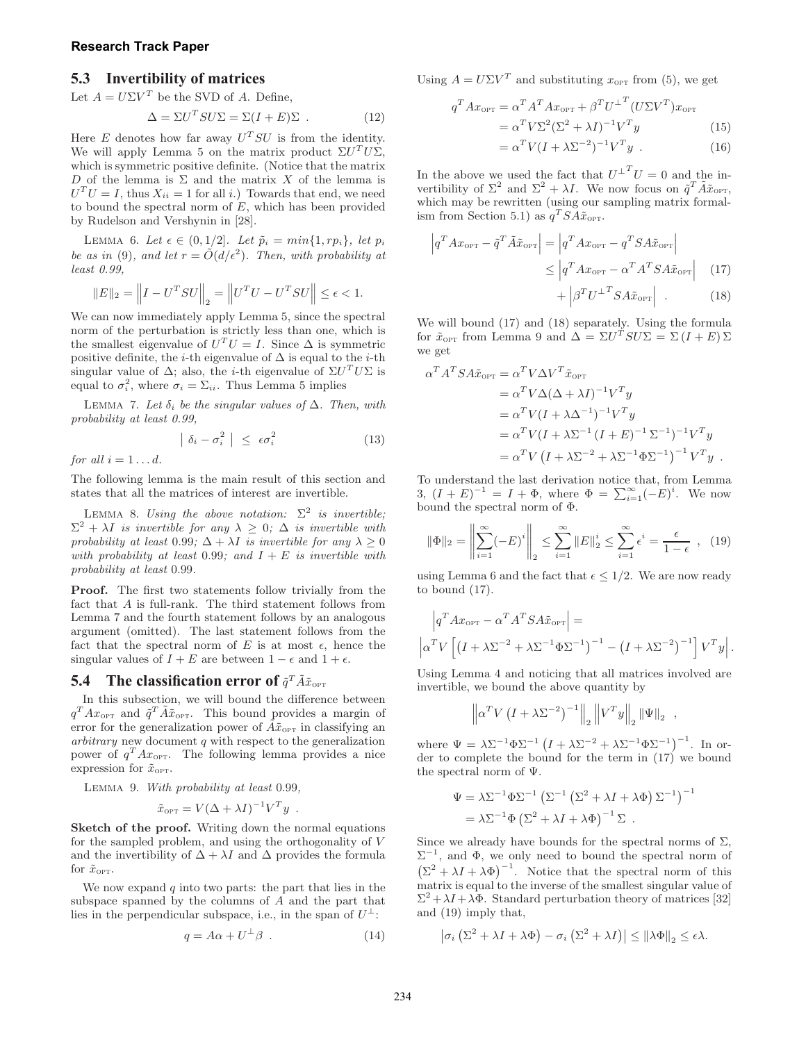#### **Research Track Paper**

### **5.3 Invertibility of matrices**

Let  $A = U\Sigma V^T$  be the SVD of A. Define,

$$
\Delta = \Sigma U^T S U \Sigma = \Sigma (I + E) \Sigma . \qquad (12)
$$

Here E denotes how far away  $U^T S U$  is from the identity. We will apply Lemma 5 on the matrix product  $\Sigma U^T U \Sigma$ , which is symmetric positive definite. (Notice that the matrix D of the lemma is  $\Sigma$  and the matrix X of the lemma is  $U<sup>T</sup>U = I$ , thus  $X_{ii} = 1$  for all *i*.) Towards that end, we need to bound the spectral norm of  $E$ , which has been provided by Rudelson and Vershynin in [28].

LEMMA 6. Let  $\epsilon \in (0, 1/2]$ . Let  $\tilde{p}_i = min\{1, rp_i\}$ , let  $p_i$ be as in (9), and let  $r = \tilde{O}(d/\epsilon^2)$ . Then, with probability at least 0.99,

$$
||E||_2 = ||I - U^T SU||_2 = ||U^T U - U^T SU|| \le \epsilon < 1.
$$

We can now immediately apply Lemma 5, since the spectral norm of the perturbation is strictly less than one, which is the smallest eigenvalue of  $U^T U = I$ . Since  $\Delta$  is symmetric positive definite, the *i*-th eigenvalue of  $\Delta$  is equal to the *i*-th singular value of  $\Delta$ ; also, the *i*-th eigenvalue of  $\Sigma U^T U \Sigma$  is equal to  $\sigma_i^2$ , where  $\sigma_i = \sum_{ii}$ . Thus Lemma 5 implies

LEMMA 7. Let  $\delta_i$  be the singular values of  $\Delta$ . Then, with probability at least 0.99,

$$
\left| \delta_i - \sigma_i^2 \right| \leq \epsilon \sigma_i^2 \tag{13}
$$

for all  $i = 1 \ldots d$ .

The following lemma is the main result of this section and states that all the matrices of interest are invertible.

LEMMA 8. Using the above notation:  $\Sigma^2$  is invertible;  $\Sigma^2 + \lambda I$  is invertible for any  $\lambda \geq 0$ ;  $\Delta$  is invertible with probability at least 0.99;  $\Delta + \lambda I$  is invertible for any  $\lambda \geq 0$ with probability at least 0.99; and  $I + E$  is invertible with probability at least 0.99.

Proof. The first two statements follow trivially from the fact that A is full-rank. The third statement follows from Lemma 7 and the fourth statement follows by an analogous argument (omitted). The last statement follows from the fact that the spectral norm of E is at most  $\epsilon$ , hence the singular values of  $I + E$  are between  $1 - \epsilon$  and  $1 + \epsilon$ .

### **5.4** The classification error of  $\tilde{q}^T \tilde{A} \tilde{x}_{\text{OPT}}$

In this subsection, we will bound the difference between  $q^T A x_{\text{OPT}}$  and  $\tilde{q}^T \tilde{A} \tilde{x}_{\text{OPT}}$ . This bound provides a margin of error for the generalization power of  $\tilde{A}x_{\text{OPT}}$  in classifying an arbitrary new document q with respect to the generalization power of  $q^T A x_{\text{OPT}}$ . The following lemma provides a nice expression for  $\tilde{x}_{\text{OPT}}$ .

Lemma 9. With probability at least 0.99,

$$
\tilde{x}_{\text{OPT}} = V(\Delta + \lambda I)^{-1} V^T y \enspace .
$$

Sketch of the proof. Writing down the normal equations for the sampled problem, and using the orthogonality of V and the invertibility of  $\Delta + \lambda I$  and  $\Delta$  provides the formula for  $\tilde{x}_{\text{OPT}}$ .

We now expand  $q$  into two parts: the part that lies in the subspace spanned by the columns of A and the part that lies in the perpendicular subspace, i.e., in the span of  $U^{\perp}$ :

$$
q = A\alpha + U^{\perp}\beta \tag{14}
$$

Using  $A = U\Sigma V^T$  and substituting  $x_{\text{OPT}}$  from (5), we get

$$
q^T A x_{\text{OPT}} = \alpha^T A^T A x_{\text{OPT}} + \beta^T U^{\perp T} (U \Sigma V^T) x_{\text{OPT}}
$$
  
=  $\alpha^T V \Sigma^2 (\Sigma^2 + \lambda I)^{-1} V^T y$  (15)  
=  $\alpha^T V (I + \lambda \Sigma^{-2})^{-1} V^T y$ . (16)

In the above we used the fact that  $U^{\perp T}U = 0$  and the invertibility of  $\Sigma^2$  and  $\Sigma^2 + \lambda I$ . We now focus on  $\tilde{q}^T \tilde{A} \tilde{x}_{\text{OPT}}$ , which may be rewritten (using our sampling matrix formalism from Section 5.1) as  $q^T SA\tilde{x}_{\text{OPT}}$ .

$$
\left| q^T A x_{\text{OPT}} - \tilde{q}^T \tilde{A} \tilde{x}_{\text{OPT}} \right| = \left| q^T A x_{\text{OPT}} - q^T S A \tilde{x}_{\text{OPT}} \right|
$$
  

$$
\leq \left| q^T A x_{\text{OPT}} - \alpha^T A^T S A \tilde{x}_{\text{OPT}} \right| \quad (17)
$$

$$
+ \left| \beta^T U^{\perp T} S A \tilde{x}_{\text{OPT}} \right| . \quad (18)
$$

We will bound (17) and (18) separately. Using the formula for  $\tilde{x}_{\text{OPT}}$  from Lemma 9 and  $\Delta = \Sigma U^T S U \Sigma = \Sigma (I + E) \Sigma$ we get

$$
\alpha^T A^T S A \tilde{x}_{\text{OPT}} = \alpha^T V \Delta V^T \tilde{x}_{\text{OPT}}
$$
  
=  $\alpha^T V \Delta (\Delta + \lambda I)^{-1} V^T y$   
=  $\alpha^T V (I + \lambda \Delta^{-1})^{-1} V^T y$   
=  $\alpha^T V (I + \lambda \Sigma^{-1} (I + E)^{-1} \Sigma^{-1})^{-1} V^T y$   
=  $\alpha^T V (I + \lambda \Sigma^{-2} + \lambda \Sigma^{-1} \Phi \Sigma^{-1})^{-1} V^T y$ .

To understand the last derivation notice that, from Lemma 3,  $(I + E)^{-1} = I + \Phi$ , where  $\Phi = \sum_{i=1}^{\infty} (-E)^i$ . We now bound the spectral norm of  $\Phi$ .

$$
\|\Phi\|_{2} = \left\|\sum_{i=1}^{\infty} (-E)^{i}\right\|_{2} \le \sum_{i=1}^{\infty} \|E\|_{2}^{i} \le \sum_{i=1}^{\infty} \epsilon^{i} = \frac{\epsilon}{1 - \epsilon} \quad , \quad (19)
$$

using Lemma 6 and the fact that  $\epsilon \leq 1/2$ . We are now ready to bound (17).

$$
\left| q^T A x_{\text{OPT}} - \alpha^T A^T S A \tilde{x}_{\text{OPT}} \right| =
$$
\n
$$
\left| \alpha^T V \left[ \left( I + \lambda \Sigma^{-2} + \lambda \Sigma^{-1} \Phi \Sigma^{-1} \right)^{-1} - \left( I + \lambda \Sigma^{-2} \right)^{-1} \right] V^T y \right|.
$$

Using Lemma 4 and noticing that all matrices involved are invertible, we bound the above quantity by

$$
\left\| \alpha^T V \left( I + \lambda \Sigma^{-2} \right)^{-1} \right\|_2 \left\| V^T y \right\|_2 \left\| \Psi \right\|_2 ,
$$

where  $\Psi = \lambda \Sigma^{-1} \Phi \Sigma^{-1} (I + \lambda \Sigma^{-2} + \lambda \Sigma^{-1} \Phi \Sigma^{-1})^{-1}$ . In order to complete the bound for the term in  $(17)$  we bound the spectral norm of Ψ.

$$
\Psi = \lambda \Sigma^{-1} \Phi \Sigma^{-1} \left( \Sigma^{-1} \left( \Sigma^2 + \lambda I + \lambda \Phi \right) \Sigma^{-1} \right)^{-1}
$$
  
=  $\lambda \Sigma^{-1} \Phi \left( \Sigma^2 + \lambda I + \lambda \Phi \right)^{-1} \Sigma$ .

Since we already have bounds for the spectral norms of  $\Sigma$ ,  $\Sigma^{-1}$ , and  $\Phi$ , we only need to bound the spectral norm of  $(\Sigma^2 + \lambda I + \lambda \Phi)^{-1}$ . Notice that the spectral norm of this matrix is equal to the inverse of the smallest singular value of  $\Sigma^2 + \lambda I + \lambda \Phi$ . Standard perturbation theory of matrices [32] and (19) imply that,

$$
\left|\sigma_i\left(\Sigma^2 + \lambda I + \lambda \Phi\right) - \sigma_i\left(\Sigma^2 + \lambda I\right)\right| \leq \left\|\lambda \Phi\right\|_2 \leq \epsilon \lambda.
$$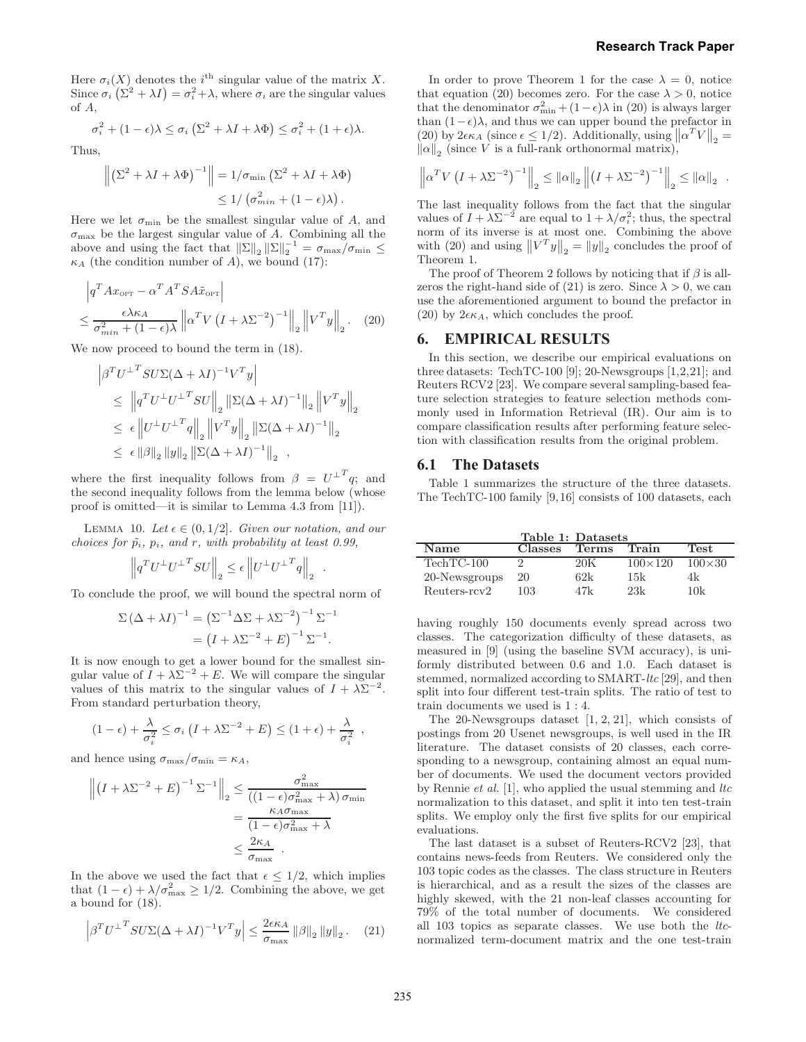Here  $\sigma_i(X)$  denotes the i<sup>th</sup> singular value of the matrix X. Since  $\sigma_i(\Sigma^2 + \lambda I) = \sigma_i^2 + \lambda$ , where  $\sigma_i$  are the singular values of A,

$$
\sigma_i^2 + (1 - \epsilon)\lambda \le \sigma_i \left( \Sigma^2 + \lambda I + \lambda \Phi \right) \le \sigma_i^2 + (1 + \epsilon)\lambda.
$$

Thus,

$$
\left\| \left( \Sigma^2 + \lambda I + \lambda \Phi \right)^{-1} \right\| = 1/\sigma_{\min} \left( \Sigma^2 + \lambda I + \lambda \Phi \right)
$$
  
\$\leq 1/ \left( \sigma\_{\min}^2 + (1 - \epsilon)\lambda \right)\$.

Here we let  $\sigma_{\min}$  be the smallest singular value of A, and  $\sigma_{\text{max}}$  be the largest singular value of A. Combining all the above and using the fact that  $||\Sigma||_2 ||\Sigma||_2^{-1} = \sigma_{\max}/\sigma_{\min} \le$  $\kappa_A$  (the condition number of A), we bound (17):

$$
\left| q^T A x_{\text{OPT}} - \alpha^T A^T S A \tilde{x}_{\text{OPT}} \right|
$$
  

$$
\leq \frac{\epsilon \lambda \kappa_A}{\sigma_{\min}^2 + (1 - \epsilon) \lambda} \left\| \alpha^T V \left( I + \lambda \Sigma^{-2} \right)^{-1} \right\|_2 \left\| V^T y \right\|_2. \tag{20}
$$

We now proceed to bound the term in (18).

$$
\begin{aligned}\n\left|\beta^T U^{\perp T} SU \Sigma (\Delta + \lambda I)^{-1} V^T y\right| \\
&\leq \left\|q^T U^{\perp} U^{\perp T} SU\right\|_2 \left\| \Sigma (\Delta + \lambda I)^{-1} \right\|_2 \left\|V^T y\right\|_2 \\
&\leq \epsilon \left\|U^{\perp} U^{\perp T} q\right\|_2 \left\|V^T y\right\|_2 \left\| \Sigma (\Delta + \lambda I)^{-1} \right\|_2 \\
&\leq \epsilon \left\|\beta\right\|_2 \left\|y\right\|_2 \left\| \Sigma (\Delta + \lambda I)^{-1} \right\|_2 ,\n\end{aligned}
$$

where the first inequality follows from  $\beta = U^{\perp T} q$ ; and the second inequality follows from the lemma below (whose proof is omitted—it is similar to Lemma 4.3 from [11]).

LEMMA 10. Let  $\epsilon \in (0, 1/2]$ . Given our notation, and our choices for  $\tilde{p}_i$ ,  $p_i$ , and r, with probability at least 0.99,

$$
\left\| \boldsymbol{q}^T \boldsymbol{U}^\perp \boldsymbol{U}^{\perp T} \boldsymbol{S} \boldsymbol{U} \right\|_2 \leq \epsilon \left\| \boldsymbol{U}^\perp \boldsymbol{U}^{\perp T} \boldsymbol{q} \right\|_2
$$

.

To conclude the proof, we will bound the spectral norm of

$$
\Sigma (\Delta + \lambda I)^{-1} = \left(\Sigma^{-1} \Delta \Sigma + \lambda \Sigma^{-2}\right)^{-1} \Sigma^{-1}
$$

$$
= \left(I + \lambda \Sigma^{-2} + E\right)^{-1} \Sigma^{-1}.
$$

It is now enough to get a lower bound for the smallest singular value of  $I + \lambda \Sigma^{-2} + E$ . We will compare the singular values of this matrix to the singular values of  $I + \lambda \Sigma^{-2}$ . From standard perturbation theory,

$$
(1 - \epsilon) + \frac{\lambda}{\sigma_i^2} \leq \sigma_i \left( I + \lambda \Sigma^{-2} + E \right) \leq (1 + \epsilon) + \frac{\lambda}{\sigma_i^2} ,
$$

and hence using  $\sigma_{\text{max}}/\sigma_{\text{min}} = \kappa_A$ ,

$$
\left\| \left(I + \lambda \Sigma^{-2} + E\right)^{-1} \Sigma^{-1} \right\|_2 \leq \frac{\sigma_{\max}^2}{\left((1 - \epsilon)\sigma_{\max}^2 + \lambda\right)\sigma_{\min}} \\
= \frac{\kappa_A \sigma_{\max}}{(1 - \epsilon)\sigma_{\max}^2 + \lambda} \\
\leq \frac{2\kappa_A}{\sigma_{\max}}.
$$

In the above we used the fact that  $\epsilon \leq 1/2$ , which implies that  $(1 - \epsilon) + \lambda/\sigma_{\text{max}}^2 \ge 1/2$ . Combining the above, we get a bound for (18).

$$
\left| \beta^T U^{\perp T} S U \Sigma (\Delta + \lambda I)^{-1} V^T y \right| \le \frac{2 \epsilon \kappa_A}{\sigma_{\text{max}}} \left\| \beta \right\|_2 \left\| y \right\|_2. \tag{21}
$$

In order to prove Theorem 1 for the case  $\lambda = 0$ , notice that equation (20) becomes zero. For the case  $\lambda > 0$ , notice that the denominator  $\sigma_{\min}^2 + (1 - \epsilon)\lambda$  in (20) is always larger than  $(1 - \epsilon)\lambda$ , and thus we can upper bound the prefactor in (20) by  $2\epsilon \kappa_A$  (since  $\epsilon \leq 1/2$ ). Additionally, using  $||\alpha^T V||_2 =$  $\|\alpha\|_2$  (since V is a full-rank orthonormal matrix),

$$
\left\| \alpha^T V \left( I + \lambda \Sigma^{-2} \right)^{-1} \right\|_2 \leq \left\| \alpha \right\|_2 \left\| \left( I + \lambda \Sigma^{-2} \right)^{-1} \right\|_2 \leq \left\| \alpha \right\|_2.
$$

The last inequality follows from the fact that the singular values of  $I + \lambda \Sigma^{-2}$  are equal to  $1 + \lambda/\sigma_i^2$ ; thus, the spectral norm of its inverse is at most one. Combining the above with (20) and using  $||V^T y||_2 = ||y||_2$  concludes the proof of Theorem 1.

The proof of Theorem 2 follows by noticing that if  $\beta$  is allzeros the right-hand side of (21) is zero. Since  $\lambda > 0$ , we can use the aforementioned argument to bound the prefactor in (20) by  $2\epsilon\kappa_A$ , which concludes the proof.

### **6. EMPIRICAL RESULTS**

In this section, we describe our empirical evaluations on three datasets: TechTC-100 [9]; 20-Newsgroups [1,2,21]; and Reuters RCV2 [23]. We compare several sampling-based feature selection strategies to feature selection methods commonly used in Information Retrieval (IR). Our aim is to compare classification results after performing feature selection with classification results from the original problem.

#### **6.1 The Datasets**

Table 1 summarizes the structure of the three datasets. The TechTC-100 family [9,16] consists of 100 datasets, each

| Table 1: Datasets |         |       |                  |               |
|-------------------|---------|-------|------------------|---------------|
| Name              | Classes | Terms | Train            | <b>Test</b>   |
| $TechnC-100$      |         | 20K   | $100 \times 120$ | $100\times30$ |
| 20-Newsgroups     | 20      | 62k   | 15k              | 4k            |
| Reuters-rcy2      | 103     | 47k   | 2.3k             | 10k           |

having roughly 150 documents evenly spread across two classes. The categorization difficulty of these datasets, as measured in [9] (using the baseline SVM accuracy), is uniformly distributed between 0.6 and 1.0. Each dataset is stemmed, normalized according to SMART-ltc [29], and then split into four different test-train splits. The ratio of test to train documents we used is 1 : 4.

The 20-Newsgroups dataset  $[1, 2, 21]$ , which consists of postings from 20 Usenet newsgroups, is well used in the IR literature. The dataset consists of 20 classes, each corresponding to a newsgroup, containing almost an equal number of documents. We used the document vectors provided by Rennie *et al.* [1], who applied the usual stemming and  $\ell$ normalization to this dataset, and split it into ten test-train splits. We employ only the first five splits for our empirical evaluations.

The last dataset is a subset of Reuters-RCV2 [23], that contains news-feeds from Reuters. We considered only the 103 topic codes as the classes. The class structure in Reuters is hierarchical, and as a result the sizes of the classes are highly skewed, with the 21 non-leaf classes accounting for 79% of the total number of documents. We considered all 103 topics as separate classes. We use both the ltcnormalized term-document matrix and the one test-train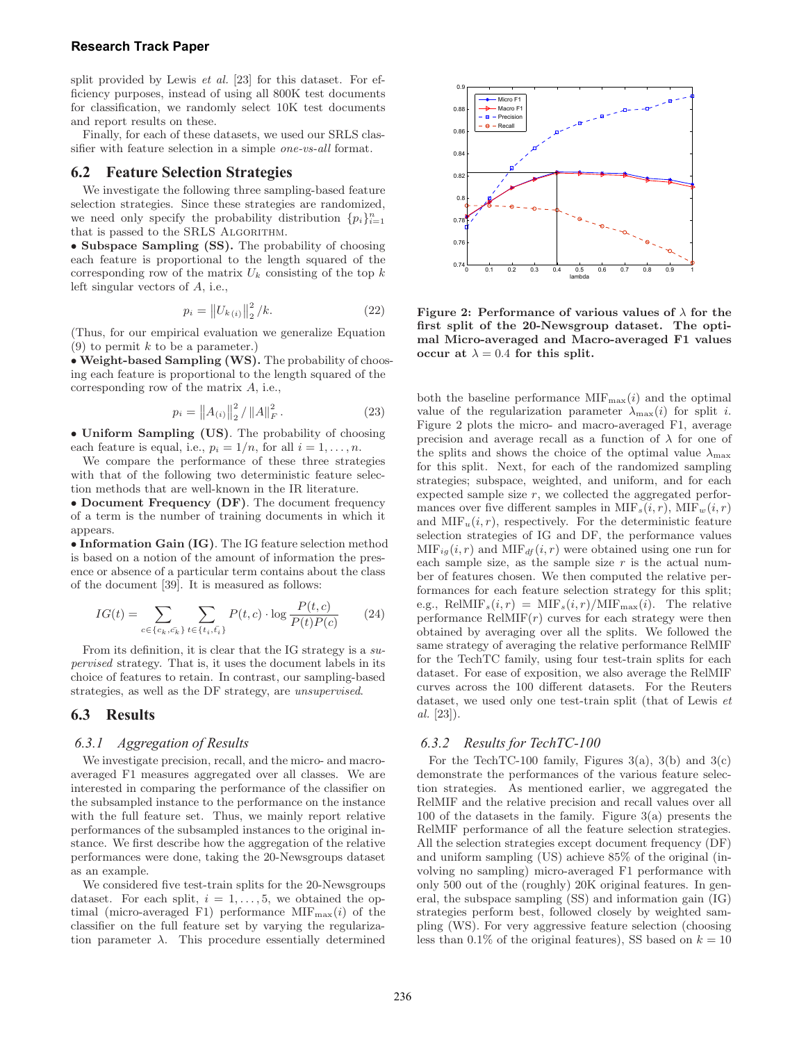#### **Research Track Paper**

split provided by Lewis *et al.* [23] for this dataset. For efficiency purposes, instead of using all 800K test documents for classification, we randomly select 10K test documents and report results on these.

Finally, for each of these datasets, we used our SRLS classifier with feature selection in a simple one-vs-all format.

#### **6.2 Feature Selection Strategies**

We investigate the following three sampling-based feature selection strategies. Since these strategies are randomized, we need only specify the probability distribution  $\{p_i\}_{i=1}^n$ that is passed to the SRLS ALGORITHM.

• Subspace Sampling (SS). The probability of choosing each feature is proportional to the length squared of the corresponding row of the matrix  $U_k$  consisting of the top  $k$ left singular vectors of A, i.e.,

$$
p_i = \|U_{k(i)}\|_2^2 / k. \tag{22}
$$

(Thus, for our empirical evaluation we generalize Equation (9) to permit  $k$  to be a parameter.)

• Weight-based Sampling (WS). The probability of choosing each feature is proportional to the length squared of the corresponding row of the matrix A, i.e.,

$$
p_i = \|A_{(i)}\|_2^2 / \|A\|_F^2.
$$
 (23)

• Uniform Sampling (US). The probability of choosing each feature is equal, i.e.,  $p_i = 1/n$ , for all  $i = 1, \ldots, n$ .

We compare the performance of these three strategies with that of the following two deterministic feature selection methods that are well-known in the IR literature.

• Document Frequency (DF). The document frequency of a term is the number of training documents in which it appears.

• Information Gain (IG). The IG feature selection method is based on a notion of the amount of information the presence or absence of a particular term contains about the class of the document [39]. It is measured as follows:

$$
IG(t) = \sum_{c \in \{c_k, \bar{c_k}\}} \sum_{t \in \{t_i, \bar{t}_i\}} P(t, c) \cdot \log \frac{P(t, c)}{P(t)P(c)} \tag{24}
$$

From its definition, it is clear that the IG strategy is a supervised strategy. That is, it uses the document labels in its choice of features to retain. In contrast, our sampling-based strategies, as well as the DF strategy, are unsupervised.

### **6.3 Results**

#### *6.3.1 Aggregation of Results*

We investigate precision, recall, and the micro- and macroaveraged F1 measures aggregated over all classes. We are interested in comparing the performance of the classifier on the subsampled instance to the performance on the instance with the full feature set. Thus, we mainly report relative performances of the subsampled instances to the original instance. We first describe how the aggregation of the relative performances were done, taking the 20-Newsgroups dataset as an example.

We considered five test-train splits for the 20-Newsgroups dataset. For each split,  $i = 1, \ldots, 5$ , we obtained the optimal (micro-averaged F1) performance  $\text{MIF}_{\text{max}}(i)$  of the classifier on the full feature set by varying the regularization parameter  $\lambda$ . This procedure essentially determined



Figure 2: Performance of various values of  $\lambda$  for the first split of the 20-Newsgroup dataset. The optimal Micro-averaged and Macro-averaged F1 values occur at  $\lambda = 0.4$  for this split.

both the baseline performance  $\text{MIF}_{\text{max}}(i)$  and the optimal value of the regularization parameter  $\lambda_{\text{max}}(i)$  for split *i*. Figure 2 plots the micro- and macro-averaged F1, average precision and average recall as a function of  $\lambda$  for one of the splits and shows the choice of the optimal value  $\lambda_{\text{max}}$ for this split. Next, for each of the randomized sampling strategies; subspace, weighted, and uniform, and for each expected sample size  $r$ , we collected the aggregated performances over five different samples in  $\text{MIF}_s(i, r)$ ,  $\text{MIF}_w(i, r)$ and  $\text{MIF}_u(i, r)$ , respectively. For the deterministic feature selection strategies of IG and DF, the performance values  $\text{MIF}_{ig}(i, r)$  and  $\text{MIF}_{df}(i, r)$  were obtained using one run for each sample size, as the sample size  $r$  is the actual number of features chosen. We then computed the relative performances for each feature selection strategy for this split; e.g., RelMIF<sub>s</sub> $(i, r) = \text{MIF}_s(i, r)/\text{MIF}_{\text{max}}(i)$ . The relative performance  $\text{ReIMIF}(r)$  curves for each strategy were then obtained by averaging over all the splits. We followed the same strategy of averaging the relative performance RelMIF for the TechTC family, using four test-train splits for each dataset. For ease of exposition, we also average the RelMIF curves across the 100 different datasets. For the Reuters dataset, we used only one test-train split (that of Lewis et al. [23]).

#### *6.3.2 Results for TechTC-100*

For the TechTC-100 family, Figures  $3(a)$ ,  $3(b)$  and  $3(c)$ demonstrate the performances of the various feature selection strategies. As mentioned earlier, we aggregated the RelMIF and the relative precision and recall values over all 100 of the datasets in the family. Figure 3(a) presents the RelMIF performance of all the feature selection strategies. All the selection strategies except document frequency (DF) and uniform sampling (US) achieve 85% of the original (involving no sampling) micro-averaged F1 performance with only 500 out of the (roughly) 20K original features. In general, the subspace sampling (SS) and information gain (IG) strategies perform best, followed closely by weighted sampling (WS). For very aggressive feature selection (choosing less than 0.1% of the original features), SS based on  $k = 10$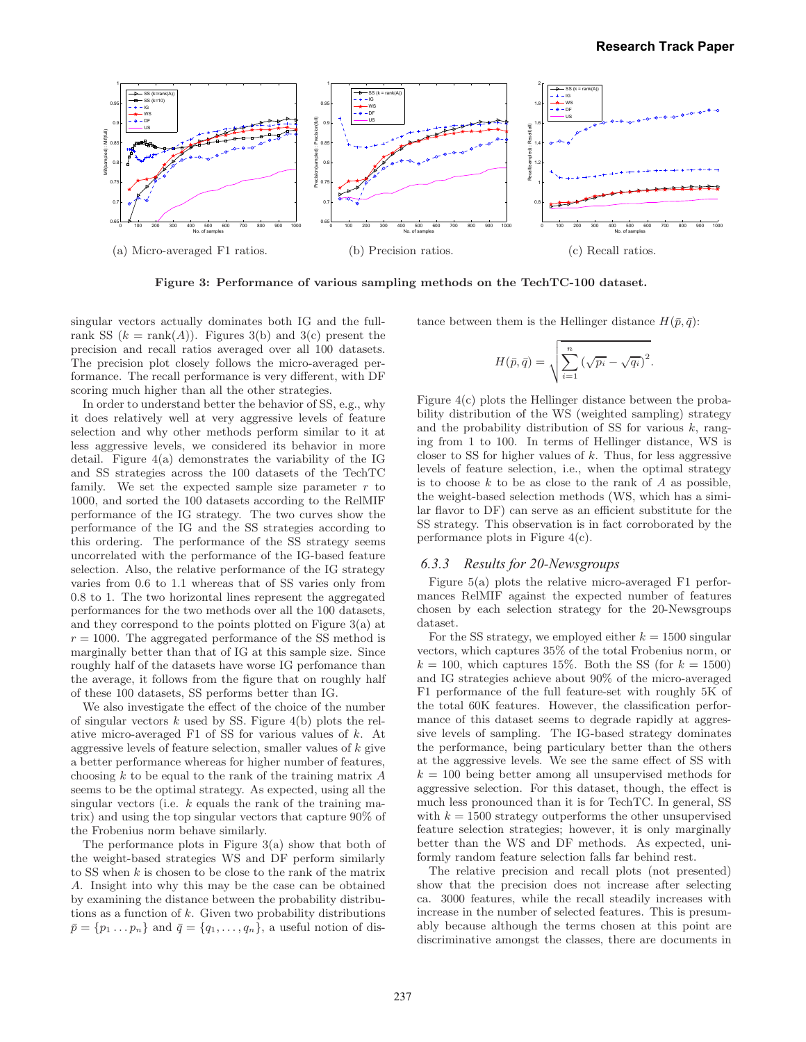

Figure 3: Performance of various sampling methods on the TechTC-100 dataset.

singular vectors actually dominates both IG and the fullrank SS  $(k = \text{rank}(A))$ . Figures 3(b) and 3(c) present the precision and recall ratios averaged over all 100 datasets. The precision plot closely follows the micro-averaged performance. The recall performance is very different, with DF scoring much higher than all the other strategies.

In order to understand better the behavior of SS, e.g., why it does relatively well at very aggressive levels of feature selection and why other methods perform similar to it at less aggressive levels, we considered its behavior in more detail. Figure 4(a) demonstrates the variability of the IG and SS strategies across the 100 datasets of the TechTC family. We set the expected sample size parameter  $r$  to 1000, and sorted the 100 datasets according to the RelMIF performance of the IG strategy. The two curves show the performance of the IG and the SS strategies according to this ordering. The performance of the SS strategy seems uncorrelated with the performance of the IG-based feature selection. Also, the relative performance of the IG strategy varies from 0.6 to 1.1 whereas that of SS varies only from 0.8 to 1. The two horizontal lines represent the aggregated performances for the two methods over all the 100 datasets, and they correspond to the points plotted on Figure 3(a) at  $r = 1000$ . The aggregated performance of the SS method is marginally better than that of IG at this sample size. Since roughly half of the datasets have worse IG perfomance than the average, it follows from the figure that on roughly half of these 100 datasets, SS performs better than IG.

We also investigate the effect of the choice of the number of singular vectors  $k$  used by SS. Figure 4(b) plots the relative micro-averaged F1 of SS for various values of k. At aggressive levels of feature selection, smaller values of  $k$  give a better performance whereas for higher number of features, choosing  $k$  to be equal to the rank of the training matrix  $A$ seems to be the optimal strategy. As expected, using all the singular vectors (i.e.  $k$  equals the rank of the training matrix) and using the top singular vectors that capture 90% of the Frobenius norm behave similarly.

The performance plots in Figure 3(a) show that both of the weight-based strategies WS and DF perform similarly to SS when k is chosen to be close to the rank of the matrix A. Insight into why this may be the case can be obtained by examining the distance between the probability distributions as a function of  $k$ . Given two probability distributions  $\bar{p} = \{p_1 \dots p_n\}$  and  $\bar{q} = \{q_1, \dots, q_n\}$ , a useful notion of distance between them is the Hellinger distance  $H(\bar{p}, \bar{q})$ :

$$
H(\bar{p}, \bar{q}) = \sqrt{\sum_{i=1}^{n} (\sqrt{p_i} - \sqrt{q_i})^2}.
$$

Figure 4(c) plots the Hellinger distance between the probability distribution of the WS (weighted sampling) strategy and the probability distribution of SS for various  $k$ , ranging from 1 to 100. In terms of Hellinger distance, WS is closer to SS for higher values of  $k$ . Thus, for less aggressive levels of feature selection, i.e., when the optimal strategy is to choose  $k$  to be as close to the rank of  $A$  as possible, the weight-based selection methods (WS, which has a similar flavor to DF) can serve as an efficient substitute for the SS strategy. This observation is in fact corroborated by the performance plots in Figure 4(c).

### *6.3.3 Results for 20-Newsgroups*

Figure 5(a) plots the relative micro-averaged F1 performances RelMIF against the expected number of features chosen by each selection strategy for the 20-Newsgroups dataset.

For the SS strategy, we employed either  $k = 1500$  singular vectors, which captures 35% of the total Frobenius norm, or  $k = 100$ , which captures 15%. Both the SS (for  $k = 1500$ ) and IG strategies achieve about 90% of the micro-averaged F1 performance of the full feature-set with roughly 5K of the total 60K features. However, the classification performance of this dataset seems to degrade rapidly at aggressive levels of sampling. The IG-based strategy dominates the performance, being particulary better than the others at the aggressive levels. We see the same effect of SS with  $k = 100$  being better among all unsupervised methods for aggressive selection. For this dataset, though, the effect is much less pronounced than it is for TechTC. In general, SS with  $k = 1500$  strategy outperforms the other unsupervised feature selection strategies; however, it is only marginally better than the WS and DF methods. As expected, uniformly random feature selection falls far behind rest.

The relative precision and recall plots (not presented) show that the precision does not increase after selecting ca. 3000 features, while the recall steadily increases with increase in the number of selected features. This is presumably because although the terms chosen at this point are discriminative amongst the classes, there are documents in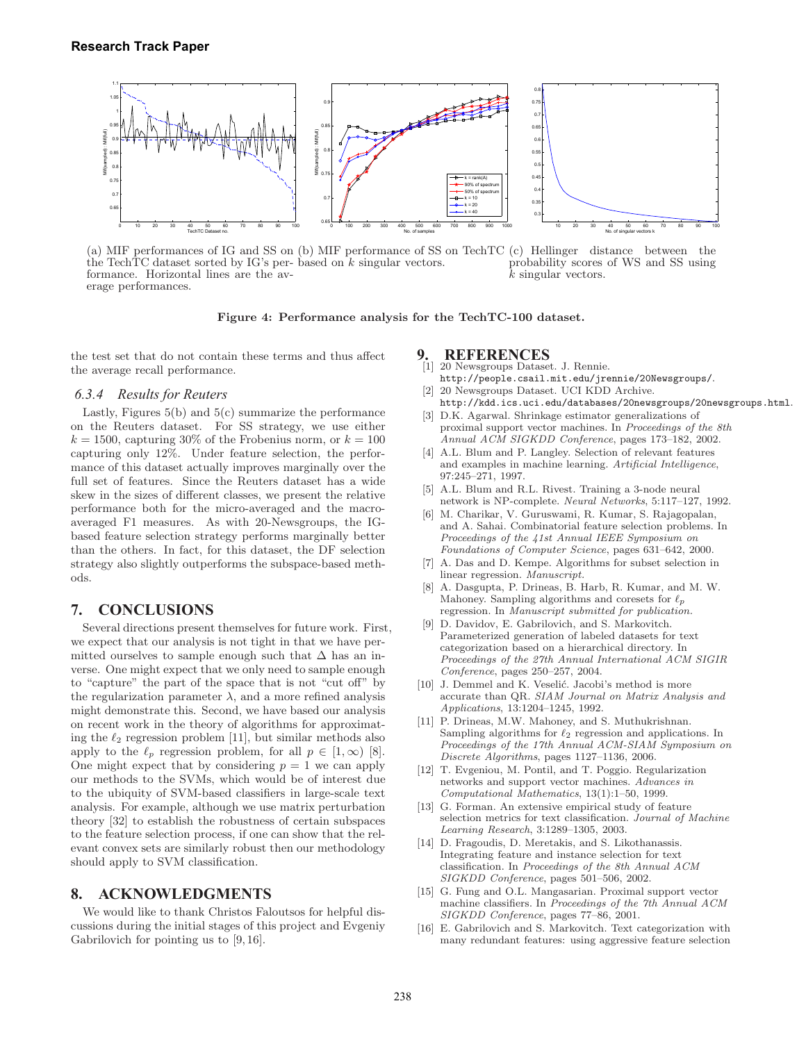

(a) MIF performances of IG and SS on (b) MIF performance of SS on TechTC the TechTC dataset sorted by IG's per-based on k singular vectors. formance. Horizontal lines are the average performances. (c) Hellinger distance between the probability scores of WS and SS using  $\bar{k}$  singular vectors.

Figure 4: Performance analysis for the TechTC-100 dataset.

the test set that do not contain these terms and thus affect the average recall performance.

#### *6.3.4 Results for Reuters*

Lastly, Figures  $5(b)$  and  $5(c)$  summarize the performance on the Reuters dataset. For SS strategy, we use either  $k = 1500$ , capturing 30% of the Frobenius norm, or  $k = 100$ capturing only 12%. Under feature selection, the performance of this dataset actually improves marginally over the full set of features. Since the Reuters dataset has a wide skew in the sizes of different classes, we present the relative performance both for the micro-averaged and the macroaveraged F1 measures. As with 20-Newsgroups, the IGbased feature selection strategy performs marginally better than the others. In fact, for this dataset, the DF selection strategy also slightly outperforms the subspace-based methods.

### **7. CONCLUSIONS**

Several directions present themselves for future work. First, we expect that our analysis is not tight in that we have permitted ourselves to sample enough such that  $\Delta$  has an inverse. One might expect that we only need to sample enough to "capture" the part of the space that is not "cut off" by the regularization parameter  $\lambda$ , and a more refined analysis might demonstrate this. Second, we have based our analysis on recent work in the theory of algorithms for approximating the  $\ell_2$  regression problem [11], but similar methods also apply to the  $\ell_p$  regression problem, for all  $p \in [1,\infty)$  [8]. One might expect that by considering  $p = 1$  we can apply our methods to the SVMs, which would be of interest due to the ubiquity of SVM-based classifiers in large-scale text analysis. For example, although we use matrix perturbation theory [32] to establish the robustness of certain subspaces to the feature selection process, if one can show that the relevant convex sets are similarly robust then our methodology should apply to SVM classification.

#### **8. ACKNOWLEDGMENTS**

We would like to thank Christos Faloutsos for helpful discussions during the initial stages of this project and Evgeniy Gabrilovich for pointing us to [9, 16].

## **9. REFERENCES**<br>[1] 20 Newsgroups Datase

- [1] 20 Newsgroups Dataset. J. Rennie. http://people.csail.mit.edu/jrennie/20Newsgroups/.
- [2] 20 Newsgroups Dataset. UCI KDD Archive. http://kdd.ics.uci.edu/databases/20newsgroups/20newsgroups.html. [3] D.K. Agarwal. Shrinkage estimator generalizations of
- proximal support vector machines. In Proceedings of the 8th Annual ACM SIGKDD Conference, pages 173–182, 2002.
- [4] A.L. Blum and P. Langley. Selection of relevant features and examples in machine learning. Artificial Intelligence, 97:245–271, 1997.
- [5] A.L. Blum and R.L. Rivest. Training a 3-node neural network is NP-complete. Neural Networks, 5:117–127, 1992.
- [6] M. Charikar, V. Guruswami, R. Kumar, S. Rajagopalan, and A. Sahai. Combinatorial feature selection problems. In Proceedings of the 41st Annual IEEE Symposium on Foundations of Computer Science, pages 631–642, 2000.
- [7] A. Das and D. Kempe. Algorithms for subset selection in linear regression. Manuscript.
- [8] A. Dasgupta, P. Drineas, B. Harb, R. Kumar, and M. W. Mahoney. Sampling algorithms and coresets for  $\ell_p$ regression. In Manuscript submitted for publication.
- [9] D. Davidov, E. Gabrilovich, and S. Markovitch. Parameterized generation of labeled datasets for text categorization based on a hierarchical directory. In Proceedings of the 27th Annual International ACM SIGIR Conference, pages 250–257, 2004.
- [10] J. Demmel and K. Veselić. Jacobi's method is more accurate than QR. SIAM Journal on Matrix Analysis and Applications, 13:1204–1245, 1992.
- [11] P. Drineas, M.W. Mahoney, and S. Muthukrishnan. Sampling algorithms for  $\ell_2$  regression and applications. In Proceedings of the 17th Annual ACM-SIAM Symposium on Discrete Algorithms, pages 1127–1136, 2006.
- [12] T. Evgeniou, M. Pontil, and T. Poggio. Regularization networks and support vector machines. Advances in Computational Mathematics, 13(1):1–50, 1999.
- [13] G. Forman. An extensive empirical study of feature selection metrics for text classification. Journal of Machine Learning Research, 3:1289–1305, 2003.
- [14] D. Fragoudis, D. Meretakis, and S. Likothanassis. Integrating feature and instance selection for text classification. In Proceedings of the 8th Annual ACM SIGKDD Conference, pages 501–506, 2002.
- [15] G. Fung and O.L. Mangasarian. Proximal support vector machine classifiers. In Proceedings of the 7th Annual ACM SIGKDD Conference, pages 77–86, 2001.
- [16] E. Gabrilovich and S. Markovitch. Text categorization with many redundant features: using aggressive feature selection